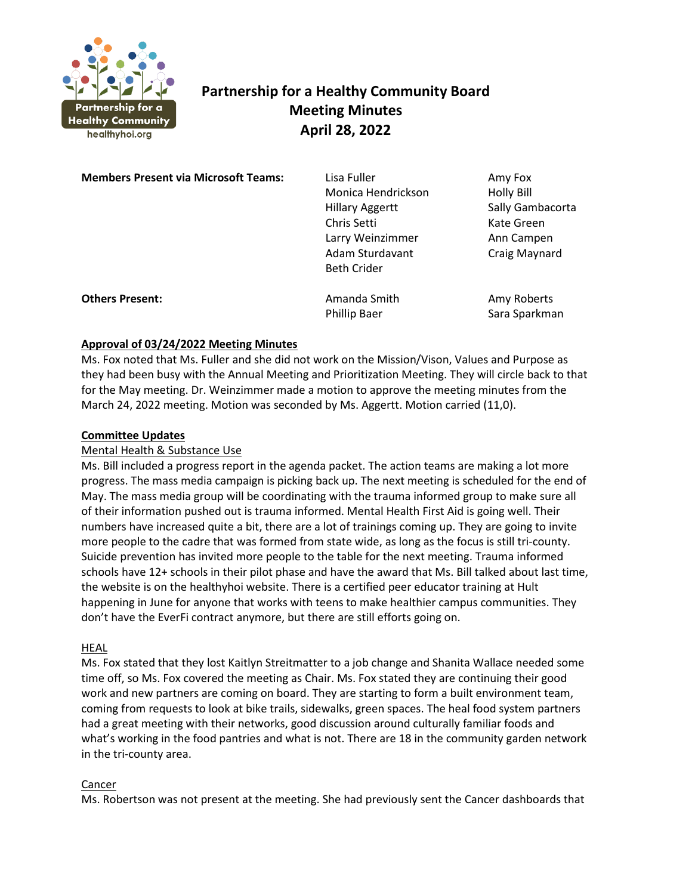

# **Partnership for a Healthy Community Board Meeting Minutes April 28, 2022**

**Members Present via Microsoft Teams:** Lisa Fuller Amy Fox

Monica Hendrickson Holly Bill Hillary Aggertt Sally Gambacorta Chris Setti Kate Green Larry Weinzimmer **Ann Campen** Adam Sturdavant Craig Maynard Beth Crider

**Others Present: Amanda Smith Amy Roberts** Amy Roberts

Phillip Baer Sara Sparkman

# **Approval of 03/24/2022 Meeting Minutes**

Ms. Fox noted that Ms. Fuller and she did not work on the Mission/Vison, Values and Purpose as they had been busy with the Annual Meeting and Prioritization Meeting. They will circle back to that for the May meeting. Dr. Weinzimmer made a motion to approve the meeting minutes from the March 24, 2022 meeting. Motion was seconded by Ms. Aggertt. Motion carried (11,0).

# **Committee Updates**

# Mental Health & Substance Use

Ms. Bill included a progress report in the agenda packet. The action teams are making a lot more progress. The mass media campaign is picking back up. The next meeting is scheduled for the end of May. The mass media group will be coordinating with the trauma informed group to make sure all of their information pushed out is trauma informed. Mental Health First Aid is going well. Their numbers have increased quite a bit, there are a lot of trainings coming up. They are going to invite more people to the cadre that was formed from state wide, as long as the focus is still tri-county. Suicide prevention has invited more people to the table for the next meeting. Trauma informed schools have 12+ schools in their pilot phase and have the award that Ms. Bill talked about last time, the website is on the healthyhoi website. There is a certified peer educator training at Hult happening in June for anyone that works with teens to make healthier campus communities. They don't have the EverFi contract anymore, but there are still efforts going on.

# HEAL

Ms. Fox stated that they lost Kaitlyn Streitmatter to a job change and Shanita Wallace needed some time off, so Ms. Fox covered the meeting as Chair. Ms. Fox stated they are continuing their good work and new partners are coming on board. They are starting to form a built environment team, coming from requests to look at bike trails, sidewalks, green spaces. The heal food system partners had a great meeting with their networks, good discussion around culturally familiar foods and what's working in the food pantries and what is not. There are 18 in the community garden network in the tri-county area.

# Cancer

Ms. Robertson was not present at the meeting. She had previously sent the Cancer dashboards that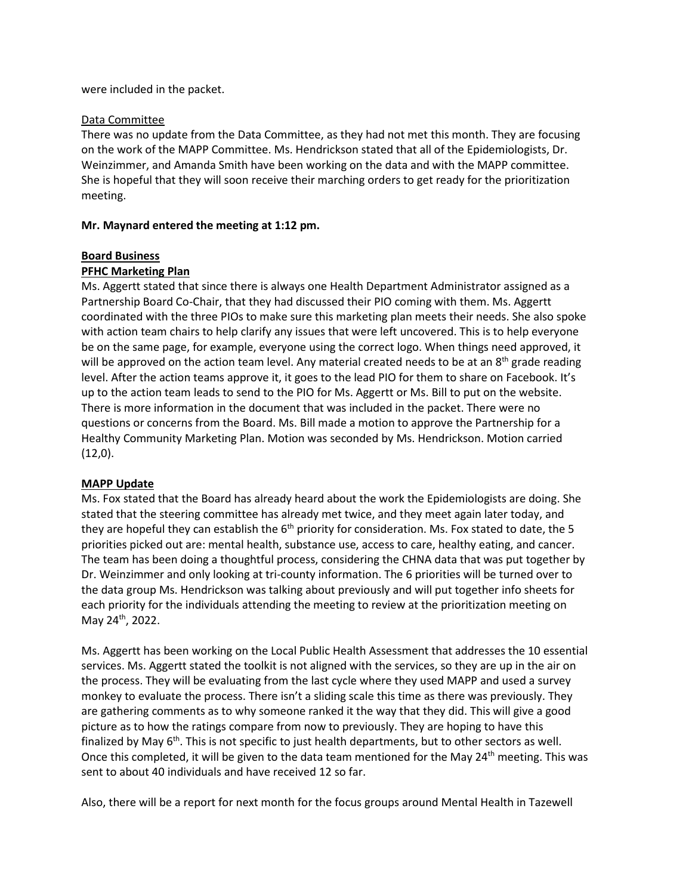were included in the packet.

#### Data Committee

There was no update from the Data Committee, as they had not met this month. They are focusing on the work of the MAPP Committee. Ms. Hendrickson stated that all of the Epidemiologists, Dr. Weinzimmer, and Amanda Smith have been working on the data and with the MAPP committee. She is hopeful that they will soon receive their marching orders to get ready for the prioritization meeting.

#### **Mr. Maynard entered the meeting at 1:12 pm.**

#### **Board Business**

### **PFHC Marketing Plan**

Ms. Aggertt stated that since there is always one Health Department Administrator assigned as a Partnership Board Co-Chair, that they had discussed their PIO coming with them. Ms. Aggertt coordinated with the three PIOs to make sure this marketing plan meets their needs. She also spoke with action team chairs to help clarify any issues that were left uncovered. This is to help everyone be on the same page, for example, everyone using the correct logo. When things need approved, it will be approved on the action team level. Any material created needs to be at an  $8<sup>th</sup>$  grade reading level. After the action teams approve it, it goes to the lead PIO for them to share on Facebook. It's up to the action team leads to send to the PIO for Ms. Aggertt or Ms. Bill to put on the website. There is more information in the document that was included in the packet. There were no questions or concerns from the Board. Ms. Bill made a motion to approve the Partnership for a Healthy Community Marketing Plan. Motion was seconded by Ms. Hendrickson. Motion carried  $(12,0)$ .

### **MAPP Update**

Ms. Fox stated that the Board has already heard about the work the Epidemiologists are doing. She stated that the steering committee has already met twice, and they meet again later today, and they are hopeful they can establish the  $6<sup>th</sup>$  priority for consideration. Ms. Fox stated to date, the 5 priorities picked out are: mental health, substance use, access to care, healthy eating, and cancer. The team has been doing a thoughtful process, considering the CHNA data that was put together by Dr. Weinzimmer and only looking at tri-county information. The 6 priorities will be turned over to the data group Ms. Hendrickson was talking about previously and will put together info sheets for each priority for the individuals attending the meeting to review at the prioritization meeting on May 24th, 2022.

Ms. Aggertt has been working on the Local Public Health Assessment that addresses the 10 essential services. Ms. Aggertt stated the toolkit is not aligned with the services, so they are up in the air on the process. They will be evaluating from the last cycle where they used MAPP and used a survey monkey to evaluate the process. There isn't a sliding scale this time as there was previously. They are gathering comments as to why someone ranked it the way that they did. This will give a good picture as to how the ratings compare from now to previously. They are hoping to have this finalized by May  $6<sup>th</sup>$ . This is not specific to just health departments, but to other sectors as well. Once this completed, it will be given to the data team mentioned for the May 24<sup>th</sup> meeting. This was sent to about 40 individuals and have received 12 so far.

Also, there will be a report for next month for the focus groups around Mental Health in Tazewell